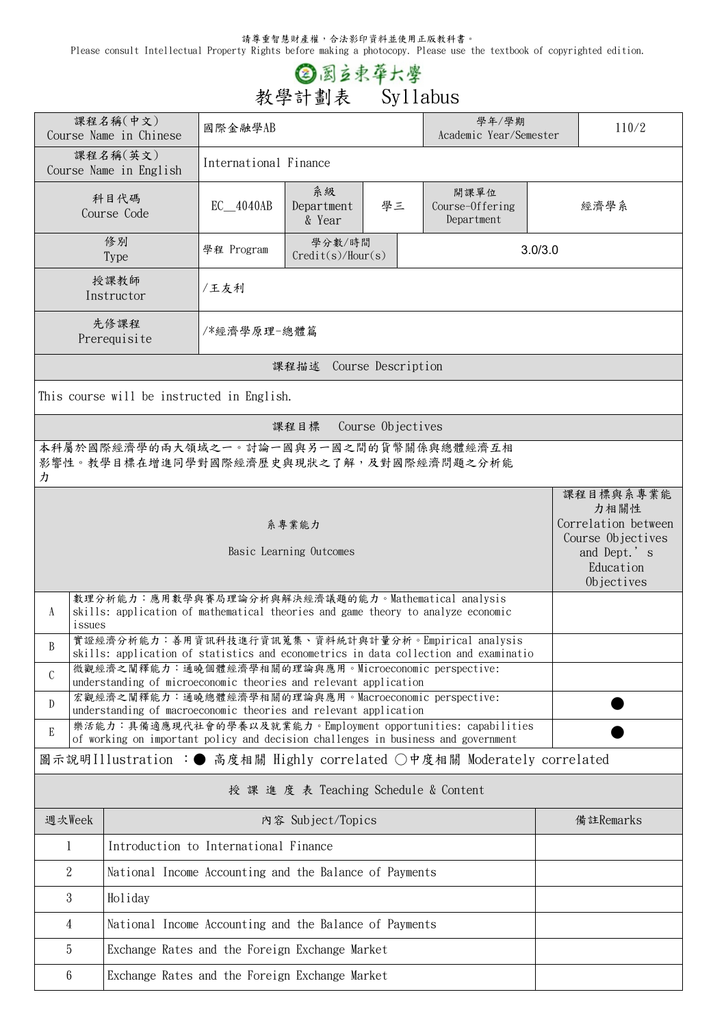請尊重智慧財產權,合法影印資料並使用正版教科書。

Please consult Intellectual Property Rights before making a photocopy. Please use the textbook of copyrighted edition.

## **② 图**立束草大學<br>教學計劃表 Syllabus

|                                                                                                                                                             | 課程名稱(中文)<br>Course Name in Chinese                                                                                                         | 國際金融學AB                                                |                                  |  | 學年/學期<br>Academic Year/Semester                               | 110/2     |                                                                                                         |  |  |
|-------------------------------------------------------------------------------------------------------------------------------------------------------------|--------------------------------------------------------------------------------------------------------------------------------------------|--------------------------------------------------------|----------------------------------|--|---------------------------------------------------------------|-----------|---------------------------------------------------------------------------------------------------------|--|--|
|                                                                                                                                                             | 課程名稱(英文)<br>Course Name in English                                                                                                         | International Finance                                  |                                  |  |                                                               |           |                                                                                                         |  |  |
|                                                                                                                                                             | 科目代碼<br>Course Code                                                                                                                        | EC_4040AB                                              | 系級<br>學三<br>Department<br>& Year |  | 開課單位<br>Course-Offering<br>Department                         |           | 經濟學系                                                                                                    |  |  |
|                                                                                                                                                             | 修別<br><b>Type</b>                                                                                                                          | 學程 Program                                             | 3.0/3.0                          |  |                                                               |           |                                                                                                         |  |  |
|                                                                                                                                                             | 授課教師<br>Instructor                                                                                                                         | /王友利                                                   |                                  |  |                                                               |           |                                                                                                         |  |  |
|                                                                                                                                                             | 先修課程<br>Prerequisite                                                                                                                       | /*經濟學原理-總體篇                                            |                                  |  |                                                               |           |                                                                                                         |  |  |
| 課程描述 Course Description                                                                                                                                     |                                                                                                                                            |                                                        |                                  |  |                                                               |           |                                                                                                         |  |  |
| This course will be instructed in English.                                                                                                                  |                                                                                                                                            |                                                        |                                  |  |                                                               |           |                                                                                                         |  |  |
| Course Objectives<br>課程目標                                                                                                                                   |                                                                                                                                            |                                                        |                                  |  |                                                               |           |                                                                                                         |  |  |
| 本科屬於國際經濟學的兩大領域之一。討論一國與另一國之間的貨幣關係與總體經濟互相<br>影響性。教學目標在增進同學對國際經濟歷史與現狀之了解,及對國際經濟問題之分析能<br>力                                                                     |                                                                                                                                            |                                                        |                                  |  |                                                               |           |                                                                                                         |  |  |
| 系專業能力<br>Basic Learning Outcomes                                                                                                                            |                                                                                                                                            |                                                        |                                  |  |                                                               |           | 課程目標與系專業能<br>力相關性<br>Correlation between<br>Course Objectives<br>and Dept.'s<br>Education<br>Objectives |  |  |
| 數理分析能力:應用數學與賽局理論分析與解決經濟議題的能力。Mathematical analysis<br>skills: application of mathematical theories and game theory to analyze economic<br>A<br>issues       |                                                                                                                                            |                                                        |                                  |  |                                                               |           |                                                                                                         |  |  |
| B                                                                                                                                                           | 實證經濟分析能力:善用資訊科技進行資訊蒐集、資料統計與計量分析。Empirical analysis<br>skills: application of statistics and econometrics in data collection and examinatio |                                                        |                                  |  |                                                               |           |                                                                                                         |  |  |
| $\mathcal{C}$                                                                                                                                               | 微觀經濟之闡釋能力:通曉個體經濟學相關的理論與應用。Microeconomic perspective:<br>understanding of microeconomic theories and relevant application                   |                                                        |                                  |  |                                                               |           |                                                                                                         |  |  |
| D                                                                                                                                                           | 宏觀經濟之闡釋能力:通曉總體經濟學相關的理論與應用。Macroeconomic perspective:<br>understanding of macroeconomic theories and relevant application                   |                                                        |                                  |  |                                                               |           |                                                                                                         |  |  |
| E                                                                                                                                                           |                                                                                                                                            |                                                        |                                  |  | 樂活能力:具備適應現代社會的學養以及就業能力。Employment opportunities: capabilities |           |                                                                                                         |  |  |
| of working on important policy and decision challenges in business and government<br>圖示說明Illustration :● 高度相關 Highly correlated ○中度相關 Moderately correlated |                                                                                                                                            |                                                        |                                  |  |                                                               |           |                                                                                                         |  |  |
| 授 課 進 度 表 Teaching Schedule & Content                                                                                                                       |                                                                                                                                            |                                                        |                                  |  |                                                               |           |                                                                                                         |  |  |
| 週次Week                                                                                                                                                      |                                                                                                                                            | 内容 Subject/Topics                                      |                                  |  |                                                               | 備註Remarks |                                                                                                         |  |  |
| 1                                                                                                                                                           | Introduction to International Finance                                                                                                      |                                                        |                                  |  |                                                               |           |                                                                                                         |  |  |
| $\overline{2}$                                                                                                                                              | National Income Accounting and the Balance of Payments                                                                                     |                                                        |                                  |  |                                                               |           |                                                                                                         |  |  |
| 3                                                                                                                                                           | Holiday                                                                                                                                    |                                                        |                                  |  |                                                               |           |                                                                                                         |  |  |
| $\overline{4}$                                                                                                                                              |                                                                                                                                            | National Income Accounting and the Balance of Payments |                                  |  |                                                               |           |                                                                                                         |  |  |
| 5                                                                                                                                                           | Exchange Rates and the Foreign Exchange Market                                                                                             |                                                        |                                  |  |                                                               |           |                                                                                                         |  |  |
| 6                                                                                                                                                           | Exchange Rates and the Foreign Exchange Market                                                                                             |                                                        |                                  |  |                                                               |           |                                                                                                         |  |  |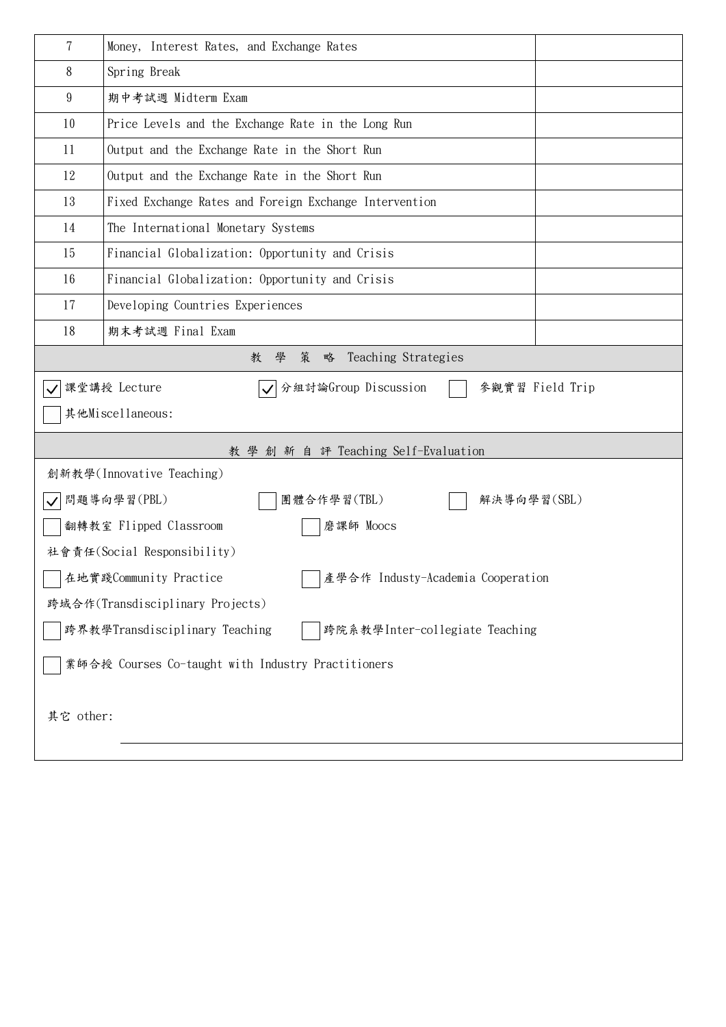| 7                                                                | Money, Interest Rates, and Exchange Rates              |  |  |  |  |  |  |
|------------------------------------------------------------------|--------------------------------------------------------|--|--|--|--|--|--|
| 8                                                                | Spring Break                                           |  |  |  |  |  |  |
| 9                                                                | 期中考試週 Midterm Exam                                     |  |  |  |  |  |  |
| 10                                                               | Price Levels and the Exchange Rate in the Long Run     |  |  |  |  |  |  |
| 11                                                               | Output and the Exchange Rate in the Short Run          |  |  |  |  |  |  |
| 12                                                               | Output and the Exchange Rate in the Short Run          |  |  |  |  |  |  |
| 13                                                               | Fixed Exchange Rates and Foreign Exchange Intervention |  |  |  |  |  |  |
| 14                                                               | The International Monetary Systems                     |  |  |  |  |  |  |
| 15                                                               | Financial Globalization: Opportunity and Crisis        |  |  |  |  |  |  |
| 16                                                               | Financial Globalization: Opportunity and Crisis        |  |  |  |  |  |  |
| 17                                                               | Developing Countries Experiences                       |  |  |  |  |  |  |
| 18                                                               | 期末考試週 Final Exam                                       |  |  |  |  |  |  |
| Teaching Strategies<br>學<br>策<br>略<br>教                          |                                                        |  |  |  |  |  |  |
| √ 分組討論Group Discussion<br>課堂講授 Lecture<br>參觀實習 Field Trip        |                                                        |  |  |  |  |  |  |
| 其他Miscellaneous:                                                 |                                                        |  |  |  |  |  |  |
| 教 學 創 新 自 評 Teaching Self-Evaluation                             |                                                        |  |  |  |  |  |  |
|                                                                  | 創新教學(Innovative Teaching)                              |  |  |  |  |  |  |
| 問題導向學習(PBL)<br>團體合作學習(TBL)<br>解決導向學習(SBL)                        |                                                        |  |  |  |  |  |  |
| 翻轉教室 Flipped Classroom<br>磨課師 Moocs                              |                                                        |  |  |  |  |  |  |
| 社會責任(Social Responsibility)                                      |                                                        |  |  |  |  |  |  |
| 在地實踐Community Practice<br>│ │產學合作 Industy-Academia Cooperation   |                                                        |  |  |  |  |  |  |
| 跨域合作(Transdisciplinary Projects)                                 |                                                        |  |  |  |  |  |  |
| 跨界教學Transdisciplinary Teaching<br>跨院系教學Inter-collegiate Teaching |                                                        |  |  |  |  |  |  |
| 業師合授 Courses Co-taught with Industry Practitioners               |                                                        |  |  |  |  |  |  |
| 其它 other:                                                        |                                                        |  |  |  |  |  |  |